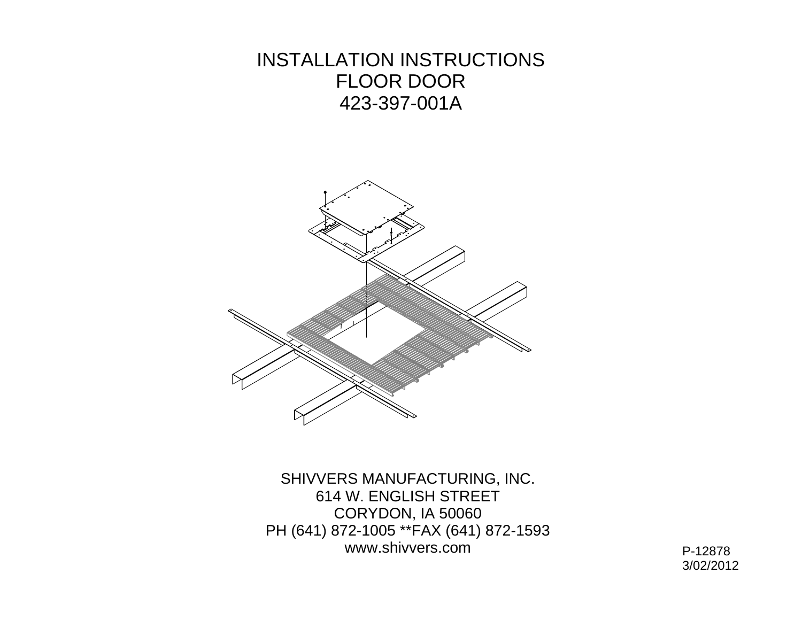INSTALLATION INSTRUCTIONS FLOOR DOOR 423-397-001A



SHIVVERS MANUFACTURING, INC. 614 W. ENGLISH STREET CORYDON, IA 50060 PH (641) 872-1005 \*\*FAX (641) 872-1593 www.shivvers.comP-12878

3/02/2012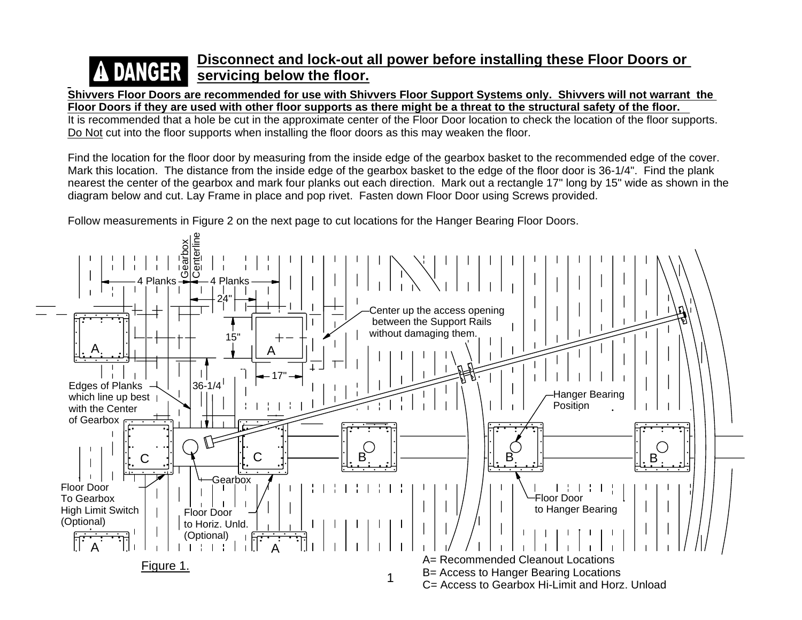## **Disconnect and lock-out all power before installing these Floor Doors or A DANGER servicing below the floor.**

**Shivvers Floor Doors are recommended for use with Shivvers Floor Support Systems only. Shivvers will not warrant the Floor Doors if they are used with other floor supports as there might be a threat to the structural safety of the floor.** 

It is recommended that a hole be cut in the approximate center of the Floor Door location to check the location of the floor supports. Do Not cut into the floor supports when installing the floor doors as this may weaken the floor.

Find the location for the floor door by measuring from the inside edge of the gearbox basket to the recommended edge of the cover. Mark this location. The distance from the inside edge of the gearbox basket to the edge of the floor door is 36-1/4". Find the plank nearest the center of the gearbox and mark four planks out each direction. Mark out a rectangle 17" long by 15" wide as shown in the diagram below and cut. Lay Frame in place and pop rivet. Fasten down Floor Door using Screws provided.

Follow measurements in Figure 2 on the next page to cut locations for the Hanger Bearing Floor Doors.